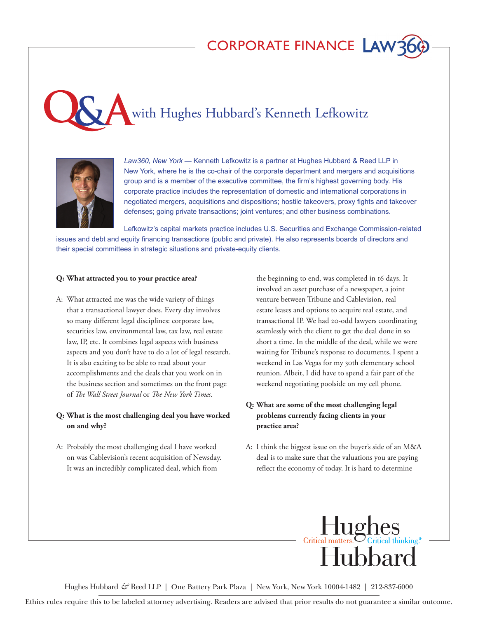# CORPORATE FINANCE LAW

with Hughes Hubbard's Kenneth Lefkowitz



*Law360, New York* — Kenneth Lefkowitz is a partner at Hughes Hubbard & Reed LLP in New York, where he is the co-chair of the corporate department and mergers and acquisitions group and is a member of the executive committee, the firm's highest governing body. His corporate practice includes the representation of domestic and international corporations in negotiated mergers, acquisitions and dispositions; hostile takeovers, proxy fights and takeover defenses; going private transactions; joint ventures; and other business combinations.

Lefkowitz's capital markets practice includes U.S. Securities and Exchange Commission-related issues and debt and equity financing transactions (public and private). He also represents boards of directors and their special committees in strategic situations and private-equity clients.

#### **Q: What attracted you to your practice area?**

A: What attracted me was the wide variety of things that a transactional lawyer does. Every day involves so many different legal disciplines: corporate law, securities law, environmental law, tax law, real estate law, IP, etc. It combines legal aspects with business aspects and you don't have to do a lot of legal research. It is also exciting to be able to read about your accomplishments and the deals that you work on in the business section and sometimes on the front page of *The Wall Street Journal* or *The New York Times*.

# **Q: What is the most challenging deal you have worked on and why?**

A: Probably the most challenging deal I have worked on was Cablevision's recent acquisition of Newsday. It was an incredibly complicated deal, which from

the beginning to end, was completed in 16 days. It involved an asset purchase of a newspaper, a joint venture between Tribune and Cablevision, real estate leases and options to acquire real estate, and transactional IP. We had 20-odd lawyers coordinating seamlessly with the client to get the deal done in so short a time. In the middle of the deal, while we were waiting for Tribune's response to documents, I spent a weekend in Las Vegas for my 30th elementary school reunion. Albeit, I did have to spend a fair part of the weekend negotiating poolside on my cell phone.

# **Q: What are some of the most challenging legal problems currently facing clients in your practice area?**

A: I think the biggest issue on the buyer's side of an M&A deal is to make sure that the valuations you are paying reflect the economy of today. It is hard to determine



Hughes Hubbard *&* Reed LLP | One Battery Park Plaza | New York, New York 10004-1482 | 212-837-6000

Ethics rules require this to be labeled attorney advertising. Readers are advised that prior results do not guarantee a similar outcome.